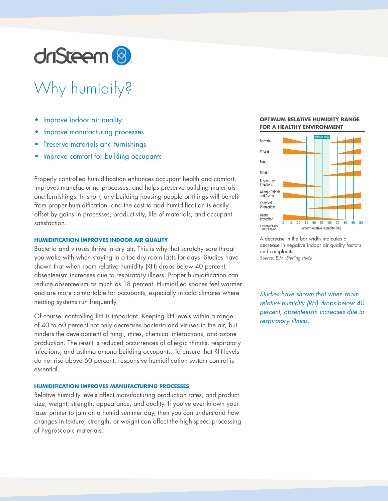

# Why humidify?

- Improve indoor air quality
- Improve manufacturing processes
- Preserve materials and furnishings
- Improve comfort for building occupants

Properly controlled humidification enhances occupant health and comfort, improves manufacturing processes, and helps preserve building materials and furnishings. In short, any building housing people or things will benefit from proper humidification, and the cost to add humidification is easily offset by gains in processes, productivity, life of materials, and occupant satisfaction.

# **HUMIDIFICATION IMPROVES INDOOR AIR QUALITY**

Bacteria and viruses thrive in dry air. This is why that scratchy sore throat you wake with when staying in a too-dry room lasts for days. Studies have shown that when room relative humidity (RH) drops below 40 percent, absenteeism increases due to respiratory illness. Proper humidification can reduce absenteeism as much as 18 percent. Humidified spaces feel warmer and are more comfortable for occupants, especially in cold climates where heating systems run frequently.

Of course, controlling RH is important. Keeping RH levels within a range of 40 to 60 percent not only decreases bacteria and viruses in the air, but hinders the development of fungi, mites, chemical interactions, and ozone production. The result is reduced occurrences of allergic rhinitis, respiratory infections, and asthma among building occupants. To ensure that RH levels do not rise above 60 percent, responsive humidification system control is essential.

# **HUMIDIFICATION IMPROVES MANUFACTURING PROCESSES**

Relative humidity levels affect manufacturing production rates, and product size, weight, strength, appearance, and quality. If you've ever known your laser printer to jam on a humid summer day, then you can understand how changes in texture, strength, or weight can affect the high-speed processing of hygroscopic materials.

#### **OPTIMUM RELATIVE HUMIDITY RANGE FOR A HEALTHY ENVIRONMENT**



A decrease in the bar width indicates a decrease in negative indoor air quality factors and complaints. *Source: E.M. Sterling study*

*Studies have shown that when room relative humidity (RH) drops below 40 percent, absenteeism increases due to respiratory illness.*